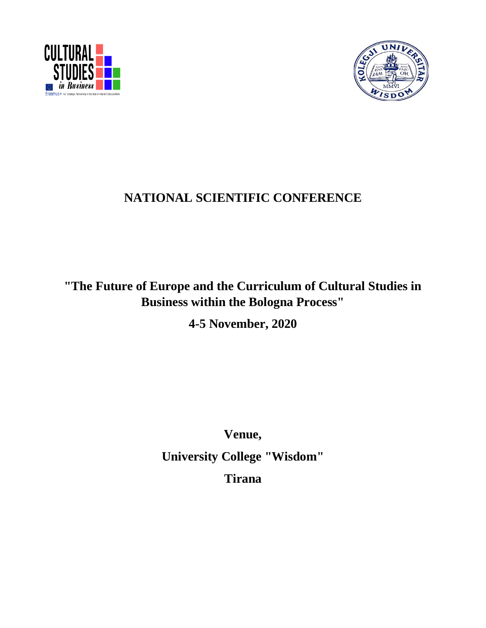



# **NATIONAL SCIENTIFIC CONFERENCE**

# **"The Future of Europe and the Curriculum of Cultural Studies in Business within the Bologna Process"**

**4-5 November, 2020**

**Venue, University College "Wisdom" Tirana**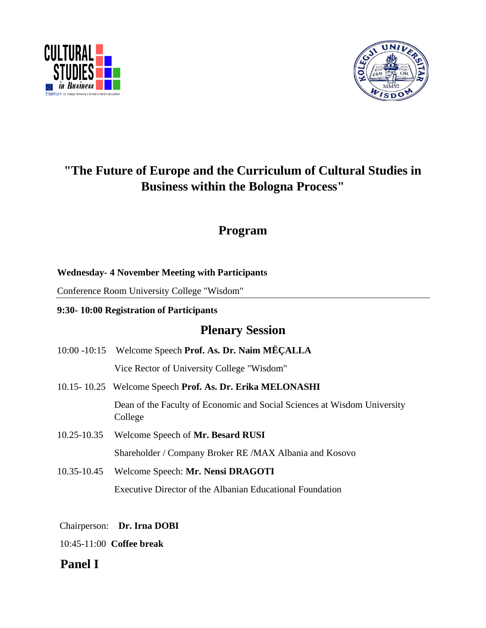



# **"The Future of Europe and the Curriculum of Cultural Studies in Business within the Bologna Process"**

## **Program**

## **Wednesday- 4 November Meeting with Participants**

Conference Room University College "Wisdom"

## **9:30- 10:00 Registration of Participants**

## **Plenary Session**

- 10:00 -10:15Welcome Speech **Prof. As. Dr. Naim MËÇALLA**  Vice Rector of University College "Wisdom" 10.15- 10.25 Welcome Speech **Prof. As. Dr. Erika MELONASHI** Dean of the Faculty of Economic and Social Sciences at Wisdom University College
- 10.25-10.35 Welcome Speech of **Mr. Besard RUSI** Shareholder / Company Broker RE /MAX Albania and Kosovo
- 10.35-10.45 Welcome Speech: **Mr. Nensi DRAGOTI** Executive Director of the Albanian Educational Foundation

Chairperson: **Dr. Irna DOBI** 

10:45-11:00 **Coffee break** 

## **Panel I**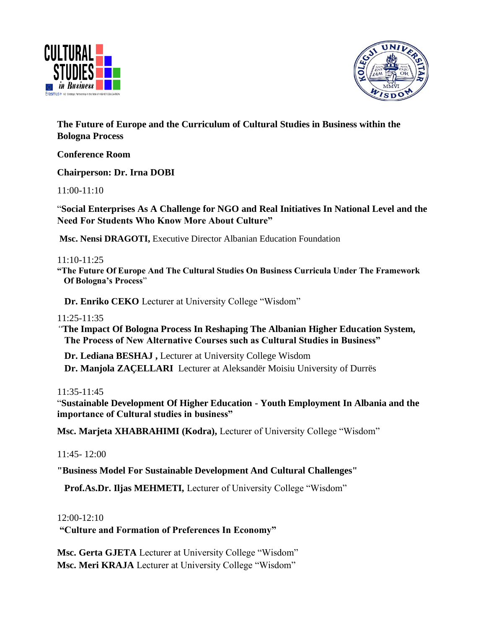



**The Future of Europe and the Curriculum of Cultural Studies in Business within the Bologna Process**

**Conference Room**

**Chairperson: Dr. Irna DOBI** 

11:00-11:10

"**Social Enterprises As A Challenge for NGO and Real Initiatives In National Level and the Need For Students Who Know More About Culture"**

**Msc. Nensi DRAGOTI,** Executive Director Albanian Education Foundation

#### 11:10-11:25

**"The Future Of Europe And The Cultural Studies On Business Curricula Under The Framework Of Bologna's Process**"

 **Dr. Enriko CEKO** Lecturer at University College "Wisdom"

11:25-11:35

*"***The Impact Of Bologna Process In Reshaping The Albanian Higher Education System, The Process of New Alternative Courses such as Cultural Studies in Business"** 

 **Dr. Lediana BESHAJ ,** Lecturer at University College Wisdom **Dr. Manjola ZAÇELLARI** Lecturer at Aleksandër Moisiu University of Durrës

11:35-11:45

"**Sustainable Development Of Higher Education - Youth Employment In Albania and the importance of Cultural studies in business"**

**Msc. Marjeta XHABRAHIMI (Kodra),** Lecturer of University College "Wisdom"

11:45- 12:00

**"Business Model For Sustainable Development And Cultural Challenges"**

 **Prof.As.Dr. Iljas MEHMETI,** Lecturer of University College "Wisdom"

12:00-12:10

**"Culture and Formation of Preferences In Economy"** 

**Msc. Gerta GJETA** Lecturer at University College "Wisdom" **Msc. Meri KRAJA** Lecturer at University College "Wisdom"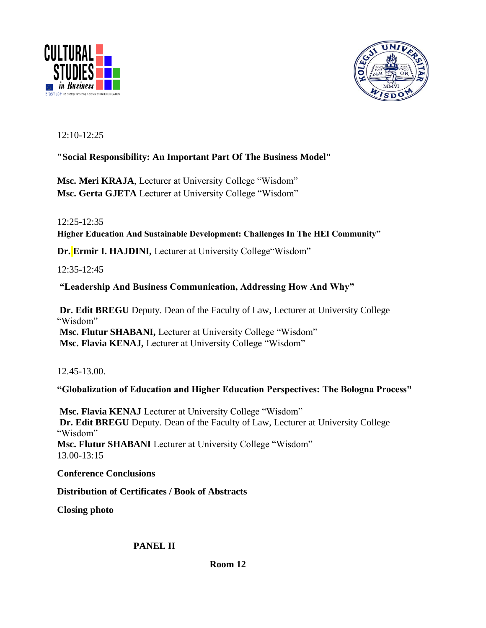



12:10-12:25

## **"Social Responsibility: An Important Part Of The Business Model"**

**Msc. Meri KRAJA**, Lecturer at University College "Wisdom" **Msc. Gerta GJETA** Lecturer at University College "Wisdom"

12:25-12:35

**Higher Education And Sustainable Development: Challenges In The HEI Community"** 

**Dr. Ermir I. HAJDINI,** Lecturer at University College"Wisdom"

12:35-12:45

## **"Leadership And Business Communication, Addressing How And Why"**

**Dr. Edit BREGU** Deputy. Dean of the Faculty of Law, Lecturer at University College "Wisdom" **Msc. Flutur SHABANI,** Lecturer at University College "Wisdom" **Msc. Flavia KENAJ,** Lecturer at University College "Wisdom"

12.45-13.00.

## **"Globalization of Education and Higher Education Perspectives: The Bologna Process"**

**Msc. Flavia KENAJ** Lecturer at University College "Wisdom" **Dr. Edit BREGU** Deputy. Dean of the Faculty of Law, Lecturer at University College "Wisdom" **Msc. Flutur SHABANI** Lecturer at University College "Wisdom" 13.00-13:15

**Conference Conclusions**

**Distribution of Certificates / Book of Abstracts**

**Closing photo** 

 **PANEL II**

 **Room 12**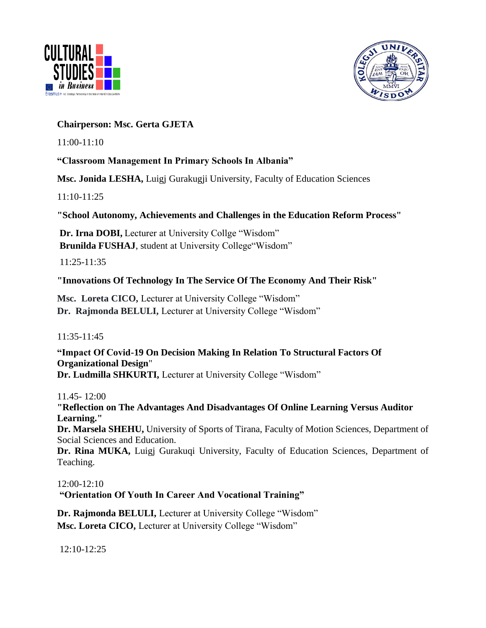



### **Chairperson: Msc. Gerta GJETA**

11:00-11:10

## **"Classroom Management In Primary Schools In Albania"**

**Msc. Jonida LESHA,** Luigj Gurakugji University, Faculty of Education Sciences

11:10-11:25

**"School Autonomy, Achievements and Challenges in the Education Reform Process"**

**Dr. Irna DOBI,** Lecturer at University Collge "Wisdom" **Brunilda FUSHAJ**, student at University College"Wisdom"

11:25-11:35

## **"Innovations Of Technology In The Service Of The Economy And Their Risk"**

**Msc. Loreta CICO,** Lecturer at University College "Wisdom" **Dr. Rajmonda BELULI,** Lecturer at University College "Wisdom"

11:35-11:45

**"Impact Of Covid-19 On Decision Making In Relation To Structural Factors Of Organizational Design**" **Dr. Ludmilla SHKURTI,** Lecturer at University College "Wisdom"

11.45- 12:00

**"Reflection on The Advantages And Disadvantages Of Online Learning Versus Auditor Learning."**

**Dr. Marsela SHEHU,** University of Sports of Tirana, Faculty of Motion Sciences, Department of Social Sciences and Education.

Dr. Rina MUKA, Luigi Gurakuqi University, Faculty of Education Sciences, Department of Teaching.

12:00-12:10

**"Orientation Of Youth In Career And Vocational Training"** 

**Dr. Rajmonda BELULI,** Lecturer at University College "Wisdom" **Msc. Loreta CICO,** Lecturer at University College "Wisdom"

12:10-12:25